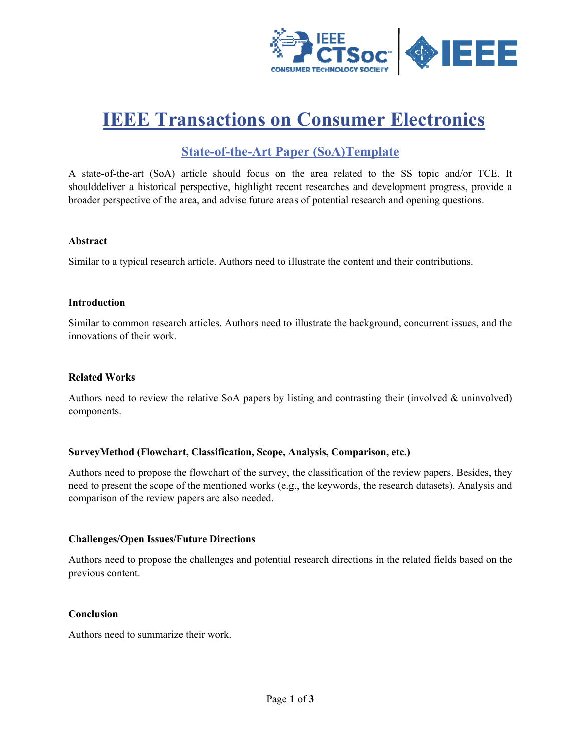

# **IEEE Transactions on Consumer Electronics**

# **State-of-the-Art Paper (SoA)Template**

A state-of-the-art (SoA) article should focus on the area related to the SS topic and/or TCE. It shoulddeliver a historical perspective, highlight recent researches and development progress, provide a broader perspective of the area, and advise future areas of potential research and opening questions.

#### **Abstract**

Similar to a typical research article. Authors need to illustrate the content and their contributions.

#### **Introduction**

Similar to common research articles. Authors need to illustrate the background, concurrent issues, and the innovations of their work

#### **Related Works**

Authors need to review the relative SoA papers by listing and contrasting their (involved & uninvolved) components.

#### SurveyMethod (Flowchart, Classification, Scope, Analysis, Comparison, etc.)

Authors need to propose the flowchart of the survey, the classification of the review papers. Besides, they need to present the scope of the mentioned works (e.g., the keywords, the research datasets). Analysis and comparison of the review papers are also needed.

#### **Challenges/Open Issues/Future Directions**

Authors need to propose the challenges and potential research directions in the related fields based on the previous content.

#### **Conclusion**

Authors need to summarize their work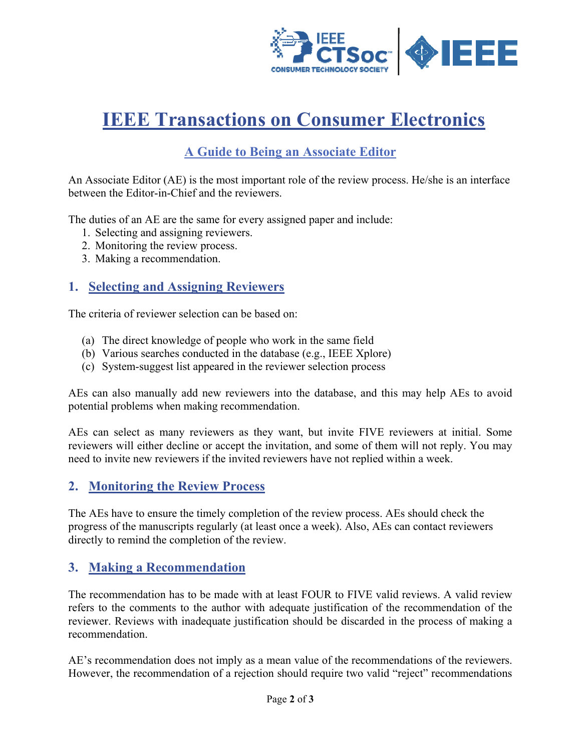

# **IEEE Transactions on Consumer Electronics**

# A Guide to Being an Associate Editor

An Associate Editor (AE) is the most important role of the review process. He/she is an interface between the Editor-in-Chief and the reviewers.

The duties of an AE are the same for every assigned paper and include:

- 1. Selecting and assigning reviewers.
- 2. Monitoring the review process.
- 3. Making a recommendation.

### 1. Selecting and Assigning Reviewers

The criteria of reviewer selection can be based on:

- (a) The direct knowledge of people who work in the same field
- (b) Various searches conducted in the database (e.g., IEEE Xplore)
- (c) System-suggest list appeared in the reviewer selection process

AEs can also manually add new reviewers into the database, and this may help AEs to avoid potential problems when making recommendation.

AEs can select as many reviewers as they want, but invite FIVE reviewers at initial. Some reviewers will either decline or accept the invitation, and some of them will not reply. You may need to invite new reviewers if the invited reviewers have not replied within a week.

## 2. Monitoring the Review Process

The AEs have to ensure the timely completion of the review process. AEs should check the progress of the manuscripts regularly (at least once a week). Also, AEs can contact reviewers directly to remind the completion of the review.

## 3. Making a Recommendation

The recommendation has to be made with at least FOUR to FIVE valid reviews. A valid review refers to the comments to the author with adequate justification of the recommendation of the reviewer. Reviews with inadequate justification should be discarded in the process of making a recommendation.

AE's recommendation does not imply as a mean value of the recommendations of the reviewers. However, the recommendation of a rejection should require two valid "reject" recommendations